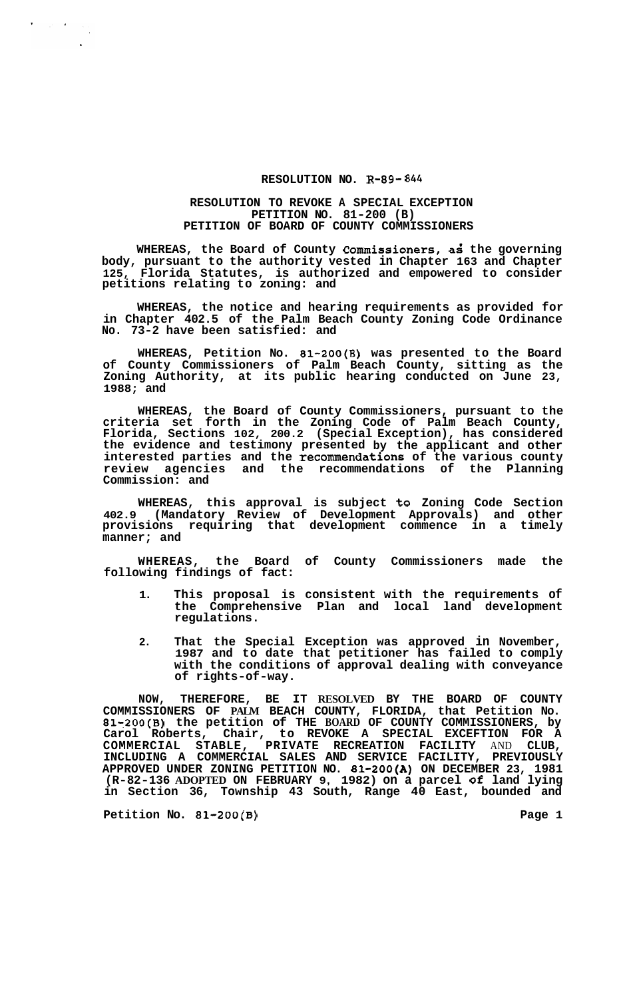## **RESOLUTION NO. R-89-** *844*

## **RESOLUTION TO REVOKE A SPECIAL EXCEPTION PETITION NO. 81-200 (B) PETITION OF BOARD OF COUNTY COMMISSIONERS**

WHEREAS, the Board of County Commissioners, as the governing **body, pursuant to the authority vested in Chapter 163 and Chapter 125, Florida Statutes, is authorized and empowered to consider petitions relating to zoning: and** 

**WHEREAS, the notice and hearing requirements as provided for in Chapter 402.5 of the Palm Beach County Zoning Code Ordinance No. 73-2 have been satisfied: and** 

**WHEREAS, Petition No. 81-200(B) was presented to the Board of County Commissioners of Palm Beach County, sitting as the Zoning Authority, at its public hearing conducted on June 23, 1988; and** 

**WHEREAS, the Board of County Commissioners, pursuant to the criteria set forth in the Zoning Code of Palm Beach County, Florida, Sections 102, 200.2 (Special Exception), has considered the evidence and testimony presented by the applicant and other interested parties and the recommendations of the various county review agencies and the recommendations of the Planning Commission: and** 

**WHEREAS, this approval is subject to Zoning Code Section 402.9 (Mandatory Review of Development Approvals) and other provisions requiring that development commence in a timely manner; and** 

**WHEREAS, the Board of County Commissioners made the following findings of fact:** 

- **1. This proposal is consistent with the requirements of the Comprehensive Plan and local land development regulations.**
- **2. That the Special Exception was approved in November, 1987 and to date that petitioner has failed to comply with the conditions of approval dealing with conveyance of rights-of-way.**

**NOW, THEREFORE, BE IT RESOLVED BY THE BOARD OF COUNTY COMMISSIONERS OF PALM BEACH COUNTY, FLORIDA, that Petition No. 81=200(B) the petition of THE BOARD OF COUNTY COMMISSIONERS, by**  Carol Roberts, Chair, to REVOKE A SPECIAL EXCEFTION FOR A COMMERCIAL STABLE, PRIVATE RECREATION FACILITY AND CLUB,<br>INCLUDING A COMMERCIAL SALES AND SERVICE FACILITY, PREVIOUSLY **COMMERCIAL STABLE, PRIVATE RECREATION FACILITY** AND **CLUB, INCLUDING A COMMERCIAL SALES AND SERVICE FACILITY, PREVIOUSLY APPROVED UNDER ZONING PETITION NO. 81-200(A) ON DECEMBER 23, 1981 (R-82-136 ADOPTED ON FEBRUARY 9, 1982) on a parcel of land lying in Section 36, Township 43 South, Range 40 East, bounded and** 

Petition No. 81-200(B) Page 1

 $\label{eq:2} \frac{1}{2} \sum_{i=1}^n \frac{1}{2} \sum_{j=1}^n \frac{1}{2} \sum_{j=1}^n \frac{1}{2} \sum_{j=1}^n \frac{1}{2} \sum_{j=1}^n \frac{1}{2} \sum_{j=1}^n \frac{1}{2} \sum_{j=1}^n \frac{1}{2} \sum_{j=1}^n \frac{1}{2} \sum_{j=1}^n \frac{1}{2} \sum_{j=1}^n \frac{1}{2} \sum_{j=1}^n \frac{1}{2} \sum_{j=1}^n \frac{1}{2} \sum_{j=1}^n \frac{1}{$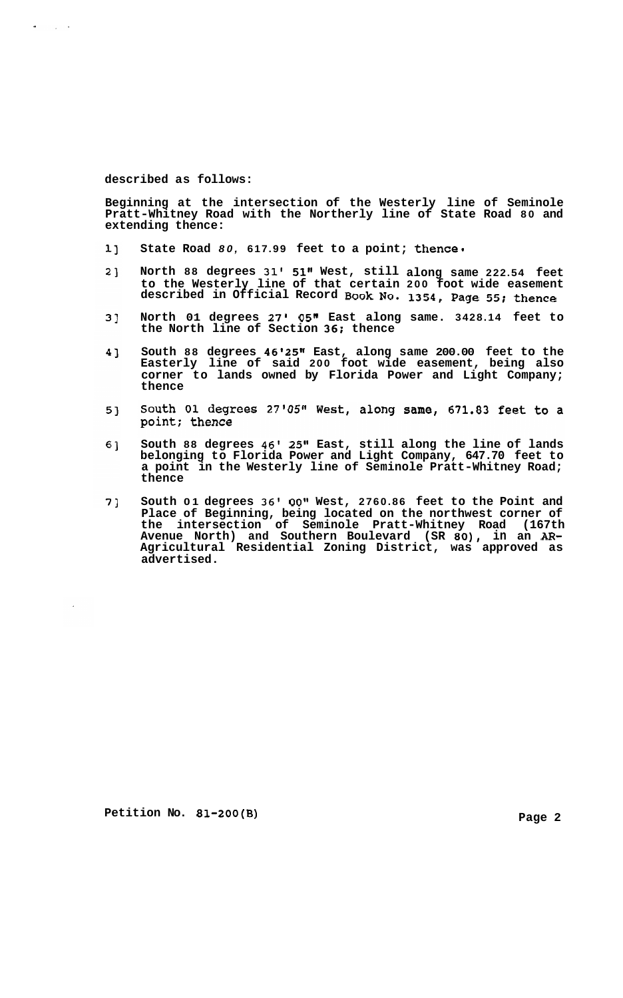## **described as follows:**

 $\sim 10^{-11}$ 

**Beginning at the intersection of the Westerly line of Seminole Pratt-Whitney Road with the Northerly line of State Road 80 and extending thence:** 

- **State Road** *80,* **617.99 feet to a point; thence.**   $11$
- **North 88 degrees 31' 51" West, still along same 222.54 feet**   $2<sub>1</sub>$ **to the Westerly line of that certain 200 foot wide easement described in Official Record Book No. 1354, Page 55; thence**
- $3]$ **North 01 degrees 27l 05l' East along same. 3428.14 feet to the North line of Section 36: thence**
- 4] **South 88 degrees 46'25" East, along same 200.00 feet to the Easterly line of said 200 foot wide easement, being also corner to lands owned by Florida Power and Light Company; thence**
- South 01 degrees 27'05" West, along same, 671.83 feet to a  $5<sub>1</sub>$ point; thence
- 6] **South 88 degrees 46' 25" East, still along the line of lands belonging to Florida Power and Light Company, 647.70 feet to a point in the Westerly line of Seminole Pratt-Whitney Road; thence**
- **South 01 degrees 36' OOlt West, 2760.86 feet to the Point and**  7] **Place of Beginning, being located on the northwest corner of the intersection of Seminole Pratt-Whitney Road (167th Avenue North) and Southern Boulevard (SR 80), in an** *AR-***Agricultural Residential Zoning District, was approved as advertised.**

**Petition No. 81-200(B)** Page 2